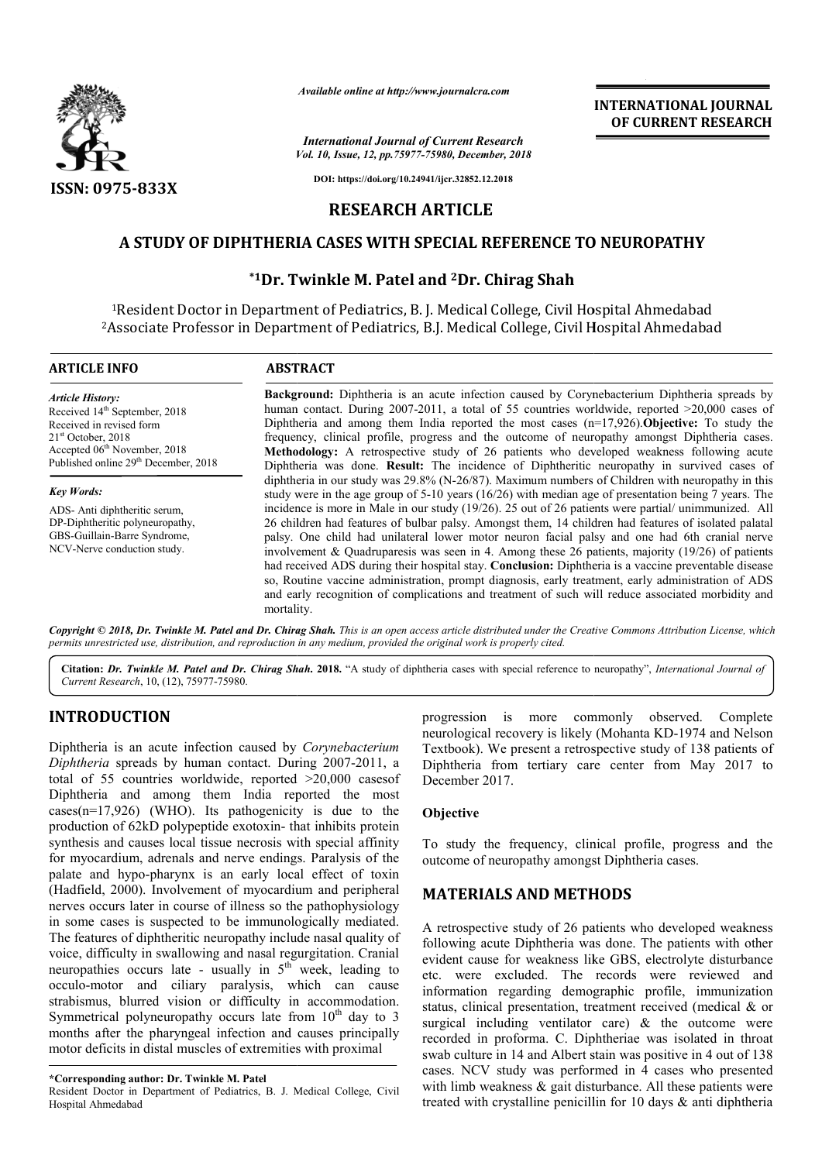

*Available online at http://www.journalcra.com*

### **RESEARCH ARTICLE**

## **A STUDY OF DIPHTHERIA CASES WITH SPECIAL REFERENCE TO NEUROPATHY A REFERENCE TO**

# **\*1Dr. Twinkle M. Patel Dr. and 2Dr. Chirag Shah**

|                                                                                                                                                                                                                                                                                                                                                                                                                                                                                                                                                                                                                                                            |                         | <b>INTERNATIONAL JOURNAL</b><br>OF CURRENT RESEARCH                                                                                                                                                                                                                                                                                                                                                                                                                                                                                                                                                                                                                                                                                    |
|------------------------------------------------------------------------------------------------------------------------------------------------------------------------------------------------------------------------------------------------------------------------------------------------------------------------------------------------------------------------------------------------------------------------------------------------------------------------------------------------------------------------------------------------------------------------------------------------------------------------------------------------------------|-------------------------|----------------------------------------------------------------------------------------------------------------------------------------------------------------------------------------------------------------------------------------------------------------------------------------------------------------------------------------------------------------------------------------------------------------------------------------------------------------------------------------------------------------------------------------------------------------------------------------------------------------------------------------------------------------------------------------------------------------------------------------|
|                                                                                                                                                                                                                                                                                                                                                                                                                                                                                                                                                                                                                                                            |                         | <b>International Journal of Current Research</b><br>Vol. 10, Issue, 12, pp.75977-75980, December, 2018                                                                                                                                                                                                                                                                                                                                                                                                                                                                                                                                                                                                                                 |
| ISSN: 0975-833X                                                                                                                                                                                                                                                                                                                                                                                                                                                                                                                                                                                                                                            |                         | DOI: https://doi.org/10.24941/ijcr.32852.12.2018                                                                                                                                                                                                                                                                                                                                                                                                                                                                                                                                                                                                                                                                                       |
|                                                                                                                                                                                                                                                                                                                                                                                                                                                                                                                                                                                                                                                            | <b>RESEARCH ARTICLE</b> |                                                                                                                                                                                                                                                                                                                                                                                                                                                                                                                                                                                                                                                                                                                                        |
|                                                                                                                                                                                                                                                                                                                                                                                                                                                                                                                                                                                                                                                            |                         | A STUDY OF DIPHTHERIA CASES WITH SPECIAL REFERENCE TO NEUROPATHY                                                                                                                                                                                                                                                                                                                                                                                                                                                                                                                                                                                                                                                                       |
|                                                                                                                                                                                                                                                                                                                                                                                                                                                                                                                                                                                                                                                            |                         | *1Dr. Twinkle M. Patel and <sup>2</sup> Dr. Chirag Shah                                                                                                                                                                                                                                                                                                                                                                                                                                                                                                                                                                                                                                                                                |
|                                                                                                                                                                                                                                                                                                                                                                                                                                                                                                                                                                                                                                                            |                         |                                                                                                                                                                                                                                                                                                                                                                                                                                                                                                                                                                                                                                                                                                                                        |
|                                                                                                                                                                                                                                                                                                                                                                                                                                                                                                                                                                                                                                                            |                         | <sup>1</sup> Resident Doctor in Department of Pediatrics, B. J. Medical College, Civil Hospital Ahmedabad<br><sup>2</sup> Associate Professor in Department of Pediatrics, B.J. Medical College, Civil Hospital Ahmedabad                                                                                                                                                                                                                                                                                                                                                                                                                                                                                                              |
| <b>ARTICLE INFO</b>                                                                                                                                                                                                                                                                                                                                                                                                                                                                                                                                                                                                                                        | <b>ABSTRACT</b>         |                                                                                                                                                                                                                                                                                                                                                                                                                                                                                                                                                                                                                                                                                                                                        |
| <b>Article History:</b><br>Received 14 <sup>th</sup> September, 2018<br>Received in revised form<br>$21st$ October, 2018<br>Accepted 06 <sup>th</sup> November, 2018<br>Published online 29 <sup>th</sup> December, 2018                                                                                                                                                                                                                                                                                                                                                                                                                                   |                         | Background: Diphtheria is an acute infection caused by Corynebacterium Diphtheria spreads by<br>human contact. During 2007-2011, a total of 55 countries worldwide, reported $>20,000$ cases of<br>Diphtheria and among them India reported the most cases $(n=17,926)$ . Objective: To study the<br>frequency, clinical profile, progress and the outcome of neuropathy amongst Diphtheria cases.<br>Methodology: A retrospective study of 26 patients who developed weakness following acute<br>Diphtheria was done. Result: The incidence of Diphtheritic neuropathy in survived cases of                                                                                                                                           |
| <b>Key Words:</b>                                                                                                                                                                                                                                                                                                                                                                                                                                                                                                                                                                                                                                          |                         | diphtheria in our study was 29.8% (N-26/87). Maximum numbers of Children with neuropathy in this<br>study were in the age group of 5-10 years ( $16/26$ ) with median age of presentation being 7 years. The                                                                                                                                                                                                                                                                                                                                                                                                                                                                                                                           |
| ADS-Anti diphtheritic serum,<br>DP-Diphtheritic polyneuropathy,<br>GBS-Guillain-Barre Syndrome,<br>NCV-Nerve conduction study.                                                                                                                                                                                                                                                                                                                                                                                                                                                                                                                             | mortality.              | incidence is more in Male in our study (19/26). 25 out of 26 patients were partial/ unimmunized. All<br>26 children had features of bulbar palsy. Amongst them, 14 children had features of isolated palatal<br>palsy. One child had unilateral lower motor neuron facial palsy and one had 6th cranial nerve<br>involvement & Quadruparesis was seen in 4. Among these 26 patients, majority $(19/26)$ of patients<br>had received ADS during their hospital stay. Conclusion: Diphtheria is a vaccine preventable disease<br>so, Routine vaccine administration, prompt diagnosis, early treatment, early administration of ADS<br>and early recognition of complications and treatment of such will reduce associated morbidity and |
| permits unrestricted use, distribution, and reproduction in any medium, provided the original work is properly cited.                                                                                                                                                                                                                                                                                                                                                                                                                                                                                                                                      |                         | Copyright © 2018, Dr. Twinkle M. Patel and Dr. Chirag Shah. This is an open access article distributed under the Creative Commons Attribution License, which                                                                                                                                                                                                                                                                                                                                                                                                                                                                                                                                                                           |
| Current Research, 10, (12), 75977-75980.                                                                                                                                                                                                                                                                                                                                                                                                                                                                                                                                                                                                                   |                         | Citation: Dr. Twinkle M. Patel and Dr. Chirag Shah. 2018. "A study of diphtheria cases with special reference to neuropathy", International Journal of                                                                                                                                                                                                                                                                                                                                                                                                                                                                                                                                                                                 |
| <b>INTRODUCTION</b><br>Diphtheria is an acute infection caused by Corynebacterium<br>Diphtheria spreads by human contact. During 2007-2011, a<br>total of 55 countries worldwide, reported >20,000 cases of<br>Diphtheria and among them India reported the most                                                                                                                                                                                                                                                                                                                                                                                           |                         | progression is more commonly observed. Complete<br>neurological recovery is likely (Mohanta KD-1974 and Nelson<br>Textbook). We present a retrospective study of 138 patients of<br>Diphtheria from tertiary care center from May 2017 to<br>December 2017.                                                                                                                                                                                                                                                                                                                                                                                                                                                                            |
| $cases(n=17,926)$ (WHO). Its pathogenicity is due to the<br>production of 62kD polypeptide exotoxin- that inhibits protein                                                                                                                                                                                                                                                                                                                                                                                                                                                                                                                                 |                         | Objective                                                                                                                                                                                                                                                                                                                                                                                                                                                                                                                                                                                                                                                                                                                              |
| synthesis and causes local tissue necrosis with special affinity<br>for myocardium, adrenals and nerve endings. Paralysis of the<br>palate and hypo-pharynx is an early local effect of toxin                                                                                                                                                                                                                                                                                                                                                                                                                                                              |                         | To study the frequency, clinical profile, progress and the<br>outcome of neuropathy amongst Diphtheria cases.                                                                                                                                                                                                                                                                                                                                                                                                                                                                                                                                                                                                                          |
| (Hadfield, 2000). Involvement of myocardium and peripheral<br>nerves occurs later in course of illness so the pathophysiology                                                                                                                                                                                                                                                                                                                                                                                                                                                                                                                              |                         | <b>MATERIALS AND METHODS</b>                                                                                                                                                                                                                                                                                                                                                                                                                                                                                                                                                                                                                                                                                                           |
| in some cases is suspected to be immunologically mediated.<br>The features of diphtheritic neuropathy include nasal quality of<br>voice, difficulty in swallowing and nasal regurgitation. Cranial<br>neuropathies occurs late - usually in 5 <sup>th</sup> week, leading to<br>occulo-motor and ciliary paralysis, which can cause<br>strabismus, blurred vision or difficulty in accommodation.<br>Symmetrical polyneuropathy occurs late from 10 <sup>th</sup> day to 3<br>months after the pharyngeal infection and causes principally<br>motor deficits in distal muscles of extremities with proximal<br>*Corresponding author: Dr. Twinkle M. Patel |                         | A retrospective study of 26 patients who developed weakness<br>following acute Diphtheria was done. The patients with other<br>evident cause for weakness like GBS, electrolyte disturbance<br>etc. were excluded. The records were reviewed and<br>information regarding demographic profile, immunization<br>status, clinical presentation, treatment received (medical & or<br>surgical including ventilator care) $\&$ the outcome were<br>recorded in proforma. C. Diphtheriae was isolated in throat<br>swab culture in 14 and Albert stain was positive in 4 out of 138<br>cases. NCV study was performed in 4 cases who presented                                                                                              |
| Resident Doctor in Department of Pediatrics, B. J. Medical College, Civil<br>Hospital Ahmedabad                                                                                                                                                                                                                                                                                                                                                                                                                                                                                                                                                            |                         | with limb weakness $\&$ gait disturbance. All these patients were<br>treated with crystalline penicillin for 10 days $\&$ anti diphtheria                                                                                                                                                                                                                                                                                                                                                                                                                                                                                                                                                                                              |

# **INTRODUCTION**

### **Objective**

### **MATERIALS AND METHODS METHODS**

**<sup>\*</sup>Corresponding author: Dr. Twinkle M. Patel**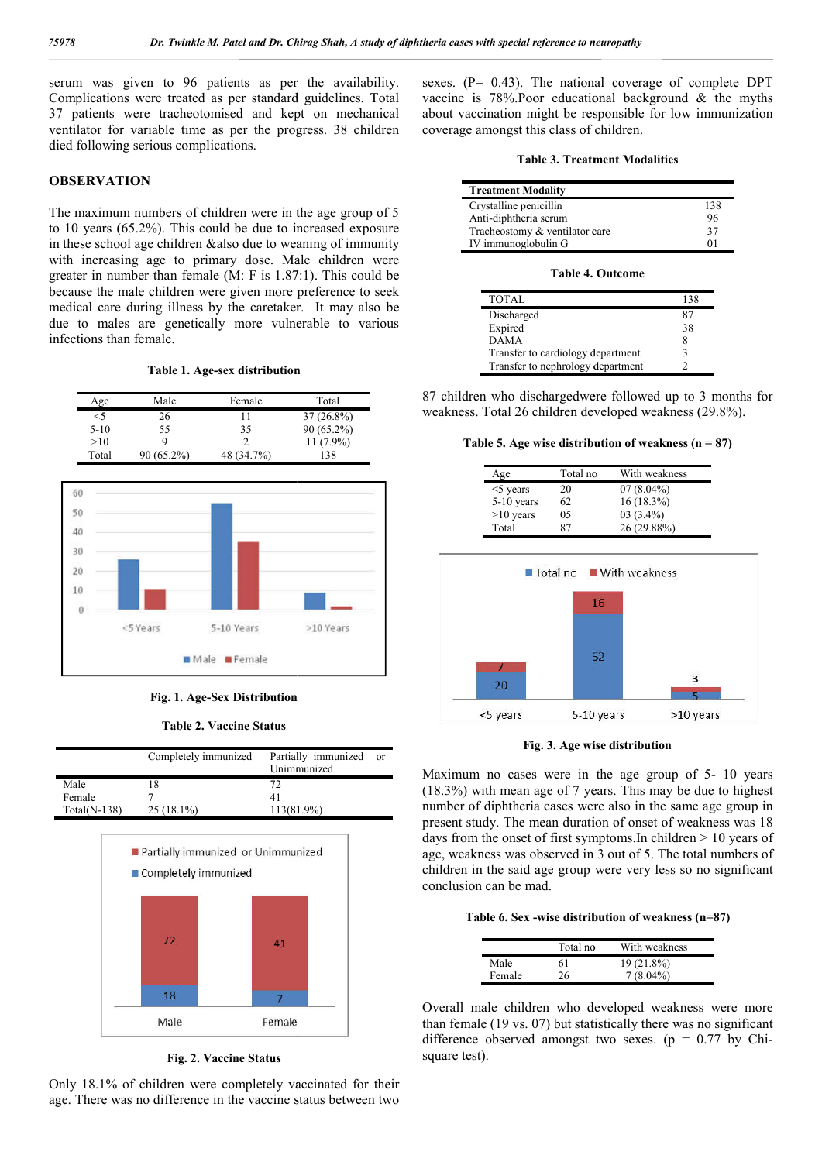serum was given to 96 patients as per the availability. Complications were treated as per standard guidelines. Total 37 patients were tracheotomised and kept on mechanical ventilator for variable time as per the progress. 38 children died following serious complications. must were tracheotomised and kept on mechanical<br>
r for variable time as per the progress. 38 children<br>
owing serious complications.<br> **VATION**<br>
imum numbers of children were in the age group of 5<br>
ars (65.2%). This could be

### **OBSERVATION**

The maximum numbers of children were in the age group of 5 to 10 years  $(65.2\%)$ . This could be due to increased exposure in these school age children &also due to weaning of immunity with increasing age to primary dose. Male children were in these school age children & also due to weaning of immunity<br>with increasing age to primary dose. Male children were<br>greater in number than female (M: F is 1.87:1). This could be because the male children were given more preference to seek medical care during illness by the caretaker. It may also be due to males are genetically more vulnerable to various infections than female.

**Table 1. Age-sex distribution sex** 

| Age    | Male       | Female     | Total        |
|--------|------------|------------|--------------|
| $<$ 5  | 26         |            | $37(26.8\%)$ |
| $5-10$ | 55         | 35         | $90(65.2\%)$ |
| >10    | Q          |            | $11(7.9\%)$  |
| Total  | 90 (65.2%) | 48 (34.7%) | 138          |



**Fig. 1. Age-Sex Distribution Sex** 

**Table 2. Vaccine Status**

|                | Completely immunized | Partially immunized<br>Unimmunized | or |
|----------------|----------------------|------------------------------------|----|
| Male           |                      | 72.                                |    |
| Female         |                      |                                    |    |
| $Total(N-138)$ | $25(18.1\%)$         | 113(81.9%)                         |    |



**Fig. 2. Vaccine Status** 

Only 18.1% of children were completely vaccinated for their age. There was no difference in the vaccine status between two

sexes. (P= 0.43). The national coverage of complete DPT vaccine is 78%.Poor educational background & the myths vaccine is 78%. Poor educational background  $\&$  the myths about vaccination might be responsible for low immunization coverage amongst this class of children.

|  | <b>Table 3. Treatment Modalities</b> |  |
|--|--------------------------------------|--|
|--|--------------------------------------|--|

| <b>Treatment Modality</b>      |         |
|--------------------------------|---------|
| Crystalline penicillin         | 138     |
| Anti-diphtheria serum          | 96      |
| Tracheostomy & ventilator care | 37      |
| IV immunoglobulin G            | $^{01}$ |

#### **Table 4. Outcome**

| TOTAL                             | 138 |
|-----------------------------------|-----|
| Discharged                        | 87  |
| Expired                           | 38  |
| <b>DAMA</b>                       | 8   |
| Transfer to cardiology department |     |
| Transfer to nephrology department |     |

87 children who dischargedwere followed up to 3 months for 87 children who dischargedwere followed up to 3 month weakness. Total 26 children developed weakness (29.8%).

Table 5. Age wise distribution of weakness  $(n = 87)$ 

| Age          | Total no | With weakness |
|--------------|----------|---------------|
| $<$ 5 years  | 20       | $07(8.04\%)$  |
| $5-10$ years | 62.      | $16(18.3\%)$  |
| $>10$ years  | 05       | $03(3.4\%)$   |
| Total        | 87       | 26 (29.88%)   |



**Fig. 3. Age wise distribution Age** 

Maximum no cases were in the age group of 5- 10 years (18.3%) with mean age of 7 years. This may be due to highest number of diphtheria cases were also in the same age group in present study. The mean duration of onset of weakness was 18 days from the onset of first symptoms. In children  $> 10$  years of age, weakness was observed in 3 out of 5. The total numbers of children in the said age group were very less so no significant conclusion can be mad. ) with mean age of 7 years. This may be due to higher of diphtheria cases were also in the same age group study. The mean duration of onset of weakness was om the onset of first symptoms.In children  $> 10$  years akness wa

#### Table 6. Sex -wise distribution of weakness (n=87)

|        | Total no | With weakness |
|--------|----------|---------------|
| Male   | 61       | $19(21.8\%)$  |
| Female | 26       | $7(8.04\%)$   |

Overall male children who developed weakness were more than female (19 vs. 07) but statistically there was no significant Overall male children who developed weakness were more than female (19 vs. 07) but statistically there was no significant difference observed amongst two sexes. ( $p = 0.77$  by Chisquare test).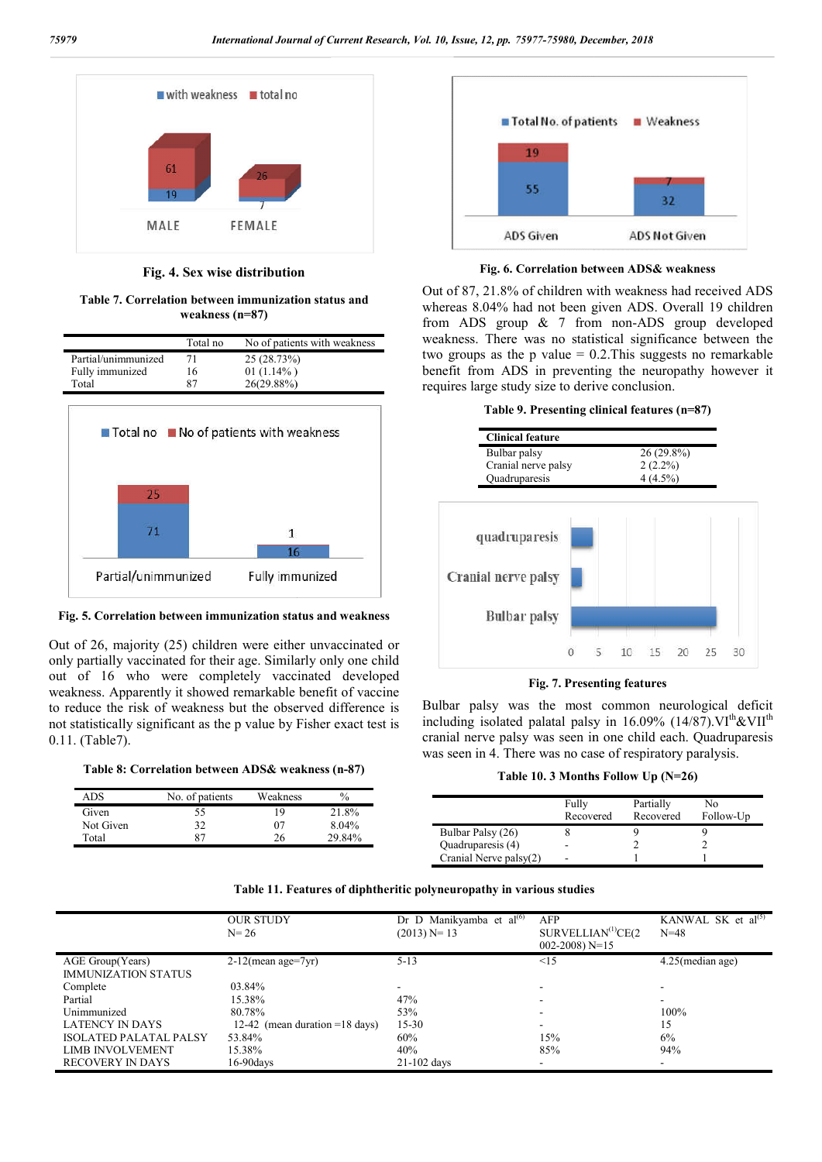

**Fig. 4. Sex wise distribution**

**Table 7. Correlation between immunization status and weakness (n=87)**

|                     | Total no | No of patients with weakness              |
|---------------------|----------|-------------------------------------------|
| Partial/unimmunized | 71       | 25 (28.73%)                               |
| Fully immunized     | 16       | 01 $(1.14\%)$                             |
| Total               | 87       | 26(29.88%)                                |
|                     |          | ■ Total no ■ No of patients with weakness |
| 25                  |          |                                           |
|                     |          | 1                                         |
|                     |          | 16                                        |

**Fig. 5. Correlation between immunization status and weakness** 

Fully immunized

Partial/unimmunized

Out of 26, majority (25) children were either unvaccinated or only partially vaccinated for their age. Similarly only one child out of 16 who were completely vaccinated developed weakness. Apparently it showed remarkable benefit of vaccine to reduce the risk of weakness but the observed difference is not statistically significant as the p value by Fisher exact test is 0.11. (Table7).

**Table 8: Correlation between ADS& weakness (n & (n-87)**

Given<br>Not C

Total



**Fig. 6. Correlation between ADS& weakness** 

Out of 87, 21.8% of children with weakness had received ADS Out of 87, 21.8% of children with weakness had received ADS whereas 8.04% had not been given ADS. Overall 19 children from ADS group  $& 7$  from non-ADS group developed weakness. There was no statistical significance between the two groups as the p value  $= 0.2$ . This suggests no remarkable benefit from ADS in preventing the neuropathy however it requires large study size to derive conclusion. weakness. There was no statistical significance between the<br>two groups as the p value = 0.2. This suggests no remarkable<br>benefit from ADS in preventing the neuropathy however it<br>requires large study size to derive conclus

|  | Table 9. Presenting clinical features (n=87) |  |  |  |
|--|----------------------------------------------|--|--|--|
|--|----------------------------------------------|--|--|--|

| Bulbar palsy<br>Cranial nerve palsy<br>Quadruparesis |  | $26(29.8\%)$<br>$2(2.2\%)$<br>$4(4.5\%)$ |  |  |
|------------------------------------------------------|--|------------------------------------------|--|--|
| quadruparesis<br>Cranial nerve palsy                 |  |                                          |  |  |
| <b>Bulbar</b> palsy                                  |  |                                          |  |  |

**Fig. 7. Presenting features**

Bulbar palsy was the most common neurological deficit including isolated palatal palsy in 16.09% (14/87). $VI<sup>th</sup>$ &VII<sup>th</sup> cranial nerve palsy was seen in one child each. Quadruparesis cranial nerve palsy was seen in one child each. Quadrup was seen in 4. There was no case of respiratory paralysis.

**Table 10. 3 Months Follow Up (N=26) (N=26)**

| ADS       | No. of patients | Weakness | $\%$   |
|-----------|-----------------|----------|--------|
| Given     | --              |          | 21.8%  |
| Not Given | ے ر             | 07       | 8.04%  |
| Total     | 87              | 26       | 29.84% |
|           |                 |          |        |

| Table 11. Features of diphtheritic polyneuropathy in various studies |  |  |  |  |  |  |  |  |
|----------------------------------------------------------------------|--|--|--|--|--|--|--|--|
|----------------------------------------------------------------------|--|--|--|--|--|--|--|--|

|                               | <b>OUR STUDY</b><br>$N = 26$               | Dr D Manikyamba et al <sup>(6)</sup><br>$(2013)$ N= 13 | AFP<br>SURVELLIAN <sup>(1)</sup> CE(2)<br>$002 - 2008$ ) N=15 | KANWAL SK et $al^{(5)}$<br>$N = 48$ |
|-------------------------------|--------------------------------------------|--------------------------------------------------------|---------------------------------------------------------------|-------------------------------------|
| AGE Group(Years)              | $2-12$ (mean age=7yr)                      | $5 - 13$                                               | $\leq$ 15                                                     | $4.25$ (median age)                 |
| <b>IMMUNIZATION STATUS</b>    |                                            |                                                        |                                                               |                                     |
| Complete                      | 03.84%                                     |                                                        |                                                               |                                     |
| Partial                       | 15.38%                                     | 47%                                                    |                                                               | ۰                                   |
| Unimmunized                   | 80.78%                                     | 53%                                                    |                                                               | 100%                                |
| <b>LATENCY IN DAYS</b>        | 12-42 (mean duration = $18 \text{ days}$ ) | $15 - 30$                                              |                                                               | 15                                  |
| <b>ISOLATED PALATAL PALSY</b> | 53.84%                                     | 60%                                                    | 15%                                                           | 6%                                  |
| <b>LIMB INVOLVEMENT</b>       | 15.38%                                     | 40%                                                    | 85%                                                           | 94%                                 |
| <b>RECOVERY IN DAYS</b>       | 16-90davs                                  | $21-102$ days                                          | $\overline{\phantom{a}}$                                      |                                     |